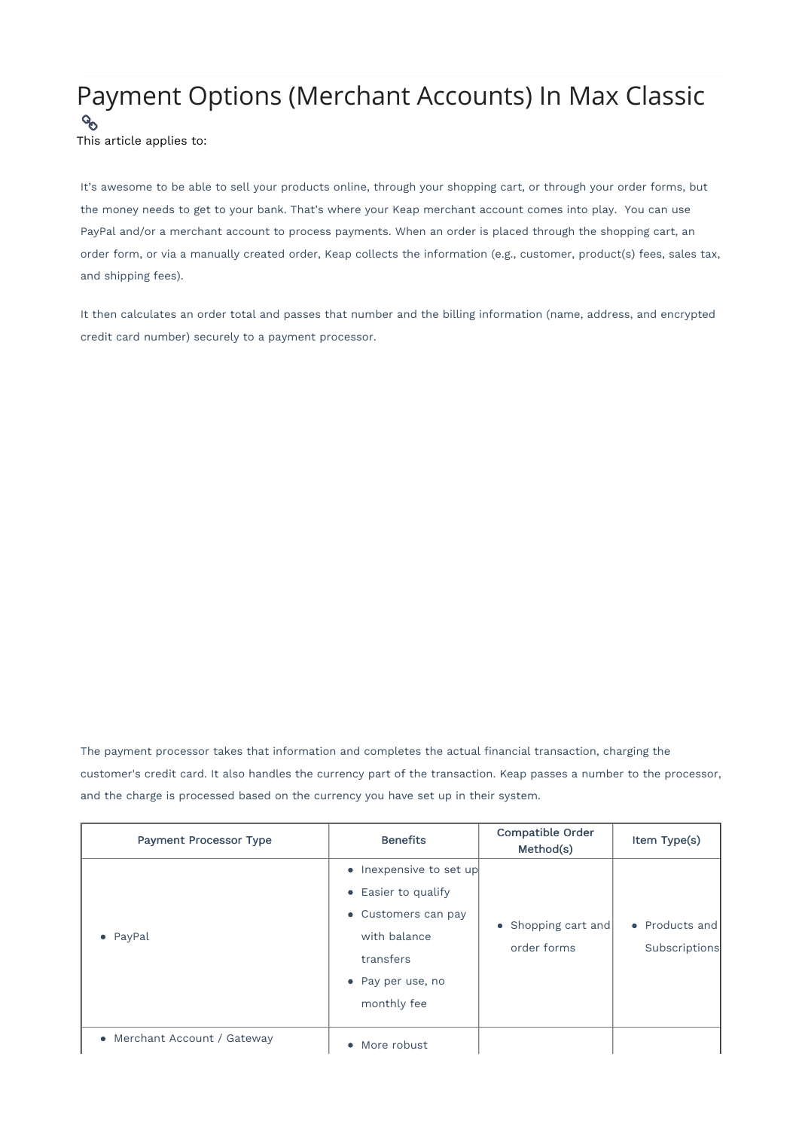## Payment Options (Merchant Accounts) In Max Classic

 $\mathcal{C}_{\mathcal{O}}$ This article applies to:

It's awesome to be able to sell your products online, through your shopping cart, or through your order forms, but the money needs to get to your bank. That's where your Keap merchant account comes into play. You can use PayPal and/or a merchant account to process payments. When an order is placed through the shopping cart, an order form, or via a manually created order, Keap collects the information (e.g., customer, product(s) fees, sales tax, and shipping fees).

It then calculates an order total and passes that number and the billing information (name, address, and encrypted credit card number) securely to a payment processor.

The payment processor takes that information and completes the actual financial transaction, charging the customer's credit card. It also handles the currency part of the transaction. Keap passes a number to the processor, and the charge is processed based on the currency you have set up in their system.

| <b>Payment Processor Type</b> | <b>Benefits</b>                                                                                                                        | Compatible Order<br>Method(s)      | Item Type(s)                    |
|-------------------------------|----------------------------------------------------------------------------------------------------------------------------------------|------------------------------------|---------------------------------|
| • PayPal                      | • Inexpensive to set up<br>• Easier to qualify<br>• Customers can pay<br>with balance<br>transfers<br>• Pay per use, no<br>monthly fee | • Shopping cart and<br>order forms | • Products and<br>Subscriptions |
| • Merchant Account / Gateway  | • More robust                                                                                                                          |                                    |                                 |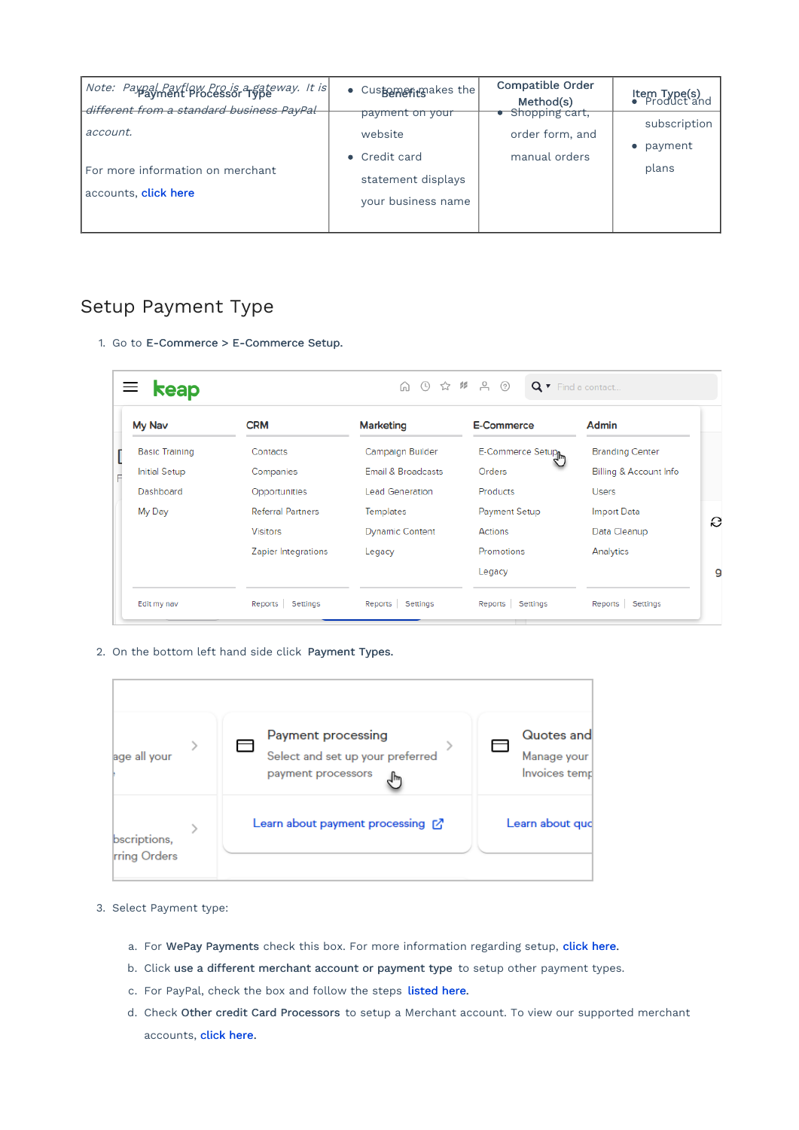| Note: Paypal Paytlow Pro is a gateway. It is<br>different from a standard business PayPal | • Customerinaakes the                                                        | Compatible Order<br>Method(s)                      | Item Type(s)<br>● Product and    |
|-------------------------------------------------------------------------------------------|------------------------------------------------------------------------------|----------------------------------------------------|----------------------------------|
| account.<br>For more information on merchant<br>accounts, <b>click here</b>               | <del>payment on your</del><br>website<br>• Credit card<br>statement displays | Shopping cart,<br>order form, and<br>manual orders | subscription<br>payment<br>plans |
|                                                                                           | your business name                                                           |                                                    |                                  |

## Setup Payment Type

1. Go to E-Commerce > E-Commerce Setup.

| My Nav                | <b>CRM</b>               | <b>Marketing</b>              | <b>E-Commerce</b>              | Admin                  |
|-----------------------|--------------------------|-------------------------------|--------------------------------|------------------------|
| <b>Basic Training</b> | Contacts                 | Campaign Builder              | E-Commerce Setup <sub>le</sub> | <b>Branding Center</b> |
| <b>Initial Setup</b>  | Companies                | <b>Email &amp; Broadcasts</b> | Orders                         | Billing & Account Info |
| Dashboard             | Opportunities            | <b>Lead Generation</b>        | <b>Products</b>                | <b>Users</b>           |
| My Day                | <b>Referral Partners</b> | <b>Templates</b>              | <b>Payment Setup</b>           | Import Data            |
|                       | <b>Visitors</b>          | <b>Dynamic Content</b>        | Actions                        | Data Cleanup           |
|                       | Zapier Integrations      | Legacy                        | Promotions                     | Analytics              |
|                       |                          |                               | Legacy                         |                        |

2. On the bottom left hand side click Payment Types.

| age all your                        | Payment processing<br>Select and set up your preferred<br>payment processors | Quotes and<br>Manage your<br>Invoices temp |
|-------------------------------------|------------------------------------------------------------------------------|--------------------------------------------|
| bscriptions,<br><b>rring Orders</b> | Learn about payment processing $\Box$                                        | Learn about quo                            |

- 3. Select Payment type:
	- a. For WePay Payments check this box. For more information regarding setup, click here.
	- b. Click use a different merchant account or payment type to setup other payment types.
	- c. For PayPal, check the box and follow the steps listed here.
	- d. Check Other credit Card Processors to setup a Merchant account. To view our supported merchant accounts, click here.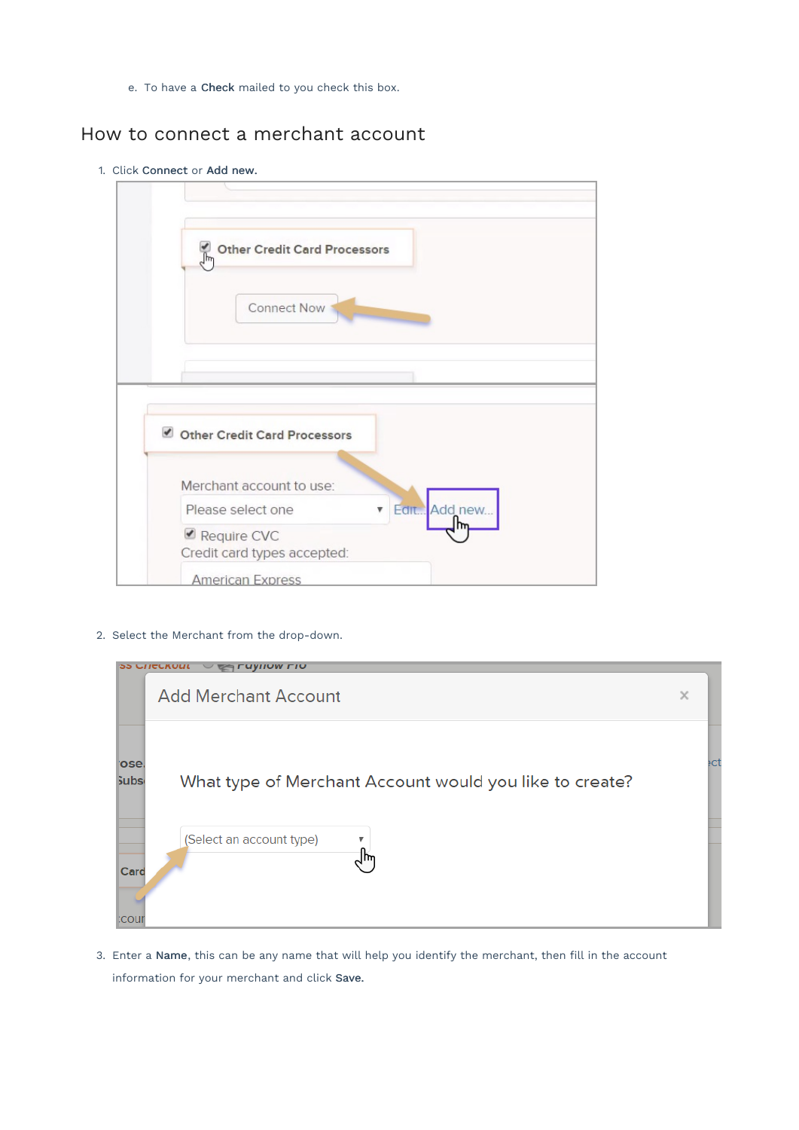e. To have a Check mailed to you check this box.

## How to connect a merchant account

1. Click Connect or Add new.



2. Select the Merchant from the drop-down.

|                       | <b>33 UNCURULL</b><br><b>VIIUW FIU</b>                  |          |  |
|-----------------------|---------------------------------------------------------|----------|--|
|                       | <b>Add Merchant Account</b>                             | $\times$ |  |
| l'ose.<br><b>Subs</b> | What type of Merchant Account would you like to create? | ŧсt      |  |
| Card<br><b>COUI</b>   | (Select an account type)<br>v                           |          |  |

3. Enter a Name, this can be any name that will help you identify the merchant, then fill in the account information for your merchant and click Save.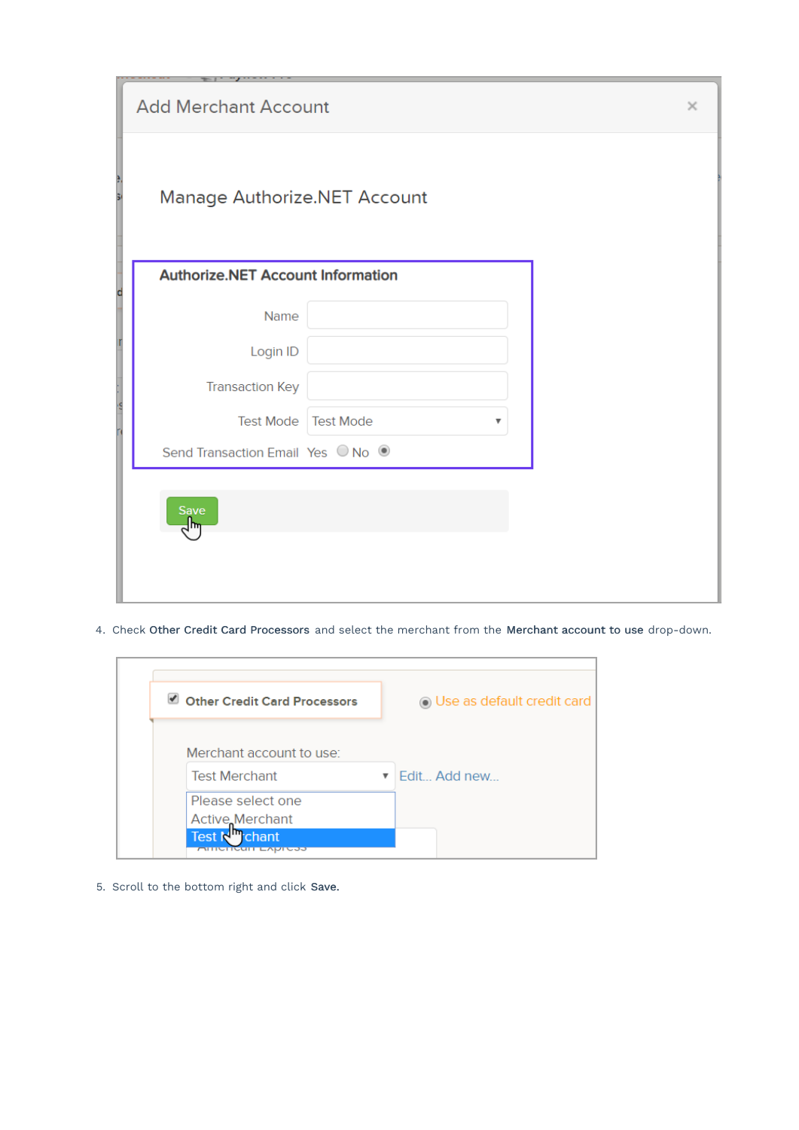| ---------<br>. <i>. .</i><br><b>Add Merchant Account</b> |                       | $\times$ |  |
|----------------------------------------------------------|-----------------------|----------|--|
| è<br>Manage Authorize.NET Account                        |                       |          |  |
| <b>Authorize.NET Account Information</b><br>d            |                       |          |  |
| Name                                                     |                       |          |  |
| Login ID                                                 |                       |          |  |
| <b>Transaction Key</b>                                   |                       |          |  |
| is<br><b>Test Mode</b>                                   | <b>Test Mode</b><br>▼ |          |  |
| Send Transaction Email Yes ○ No ●                        |                       |          |  |
| Save<br>سرا≃                                             |                       |          |  |
|                                                          |                       |          |  |

4. Check Other Credit Card Processors and select the merchant from the Merchant account to use drop-down.

| ✔<br><b>Other Credit Card Processors</b> | <b>O</b> Use as default credit card |
|------------------------------------------|-------------------------------------|
| Merchant account to use:                 |                                     |
| <b>Test Merchant</b>                     | ▼ Edit Add new                      |
|                                          |                                     |
| Please select one                        |                                     |
| Active Merchant                          |                                     |

5. Scroll to the bottom right and click Save.